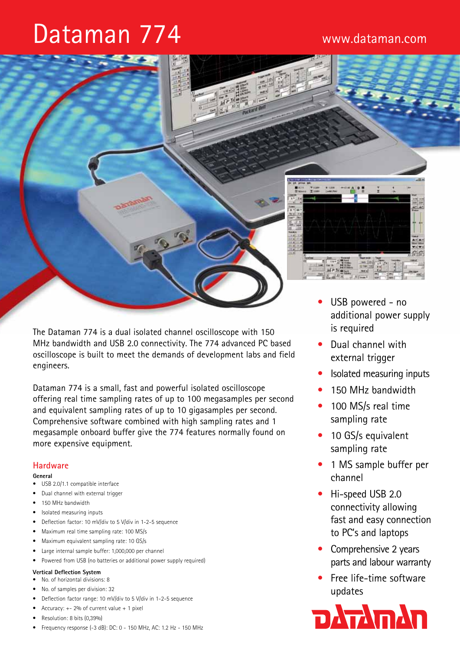# Dataman 774



The Dataman 774 is a dual isolated channel oscilloscope with 150 MHz bandwidth and USB 2.0 connectivity. The 774 advanced PC based oscilloscope is built to meet the demands of development labs and field engineers.

Dataman 774 is a small, fast and powerful isolated oscilloscope offering real time sampling rates of up to 100 megasamples per second and equivalent sampling rates of up to 10 gigasamples per second. Comprehensive software combined with high sampling rates and 1 megasample onboard buffer give the 774 features normally found on more expensive equipment.

#### **Hardware**

#### **General**

- USB 2.0/1.1 compatible interface
- Dual channel with external trigger
- 150 MHz bandwidth
- Isolated measuring inputs
- Deflection factor: 10 mV/div to 5 V/div in 1-2-5 sequence
- Maximum real time sampling rate: 100 MS/s
- Maximum equivalent sampling rate: 10 GS/s
- Large internal sample buffer: 1,000,000 per channel
- Powered from USB (no batteries or additional power supply required)

#### **Vertical Deflection System**

- • No. of horizontal divisions: 8
- No. of samples per division: 32
- Deflection factor range: 10 mV/div to 5 V/div in 1-2-5 sequence
- Accuracy:  $+- 2%$  of current value  $+ 1$  pixel
- Resolution: 8 bits (0.39%)
- • Frequency response (-3 dB): DC: 0 150 MHz, AC: 1.2 Hz 150 MHz
- additional power supply is required
- Dual channel with external trigger
- Isolated measuring inputs
- 150 MHz bandwidth
- 100 MS/s real time sampling rate
- 10 GS/s equivalent sampling rate
- 1 MS sample buffer per channel
- Hi-speed USB 2.0 connectivity allowing fast and easy connection to PC's and laptops
- Comprehensive 2 years parts and labour warranty
- Free life-time software updates